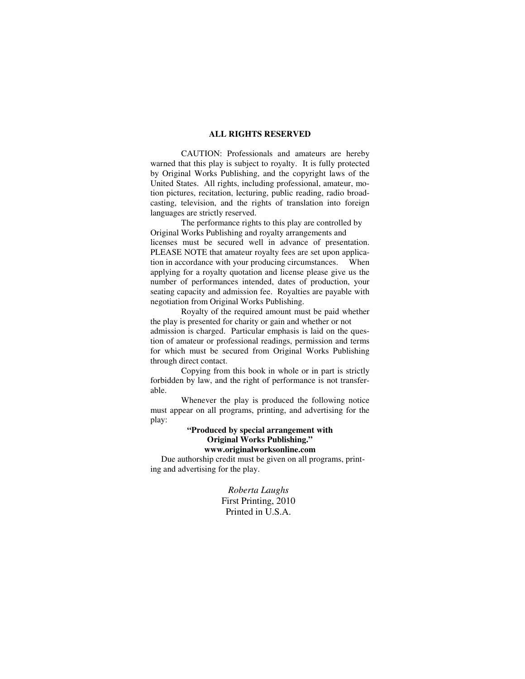#### **ALL RIGHTS RESERVED**

 CAUTION: Professionals and amateurs are hereby warned that this play is subject to royalty. It is fully protected by Original Works Publishing, and the copyright laws of the United States. All rights, including professional, amateur, motion pictures, recitation, lecturing, public reading, radio broadcasting, television, and the rights of translation into foreign languages are strictly reserved.

 The performance rights to this play are controlled by Original Works Publishing and royalty arrangements and licenses must be secured well in advance of presentation. PLEASE NOTE that amateur royalty fees are set upon application in accordance with your producing circumstances. When applying for a royalty quotation and license please give us the number of performances intended, dates of production, your seating capacity and admission fee. Royalties are payable with negotiation from Original Works Publishing.

 Royalty of the required amount must be paid whether the play is presented for charity or gain and whether or not admission is charged. Particular emphasis is laid on the question of amateur or professional readings, permission and terms for which must be secured from Original Works Publishing through direct contact.

 Copying from this book in whole or in part is strictly forbidden by law, and the right of performance is not transferable.

 Whenever the play is produced the following notice must appear on all programs, printing, and advertising for the play:

# **"Produced by special arrangement with Original Works Publishing."**

**www.originalworksonline.com** 

 Due authorship credit must be given on all programs, printing and advertising for the play.

> *Roberta Laughs*  First Printing, 2010 Printed in U.S.A.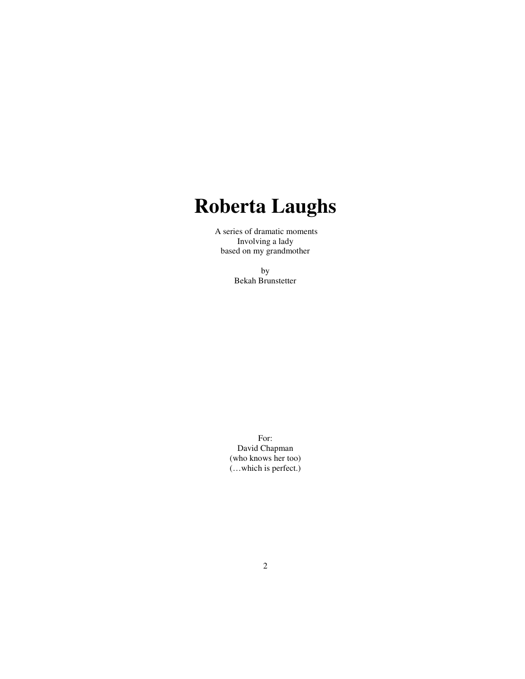# **Roberta Laughs**

A series of dramatic moments Involving a lady based on my grandmother

> by Bekah Brunstetter

For: David Chapman (who knows her too) (…which is perfect.)

2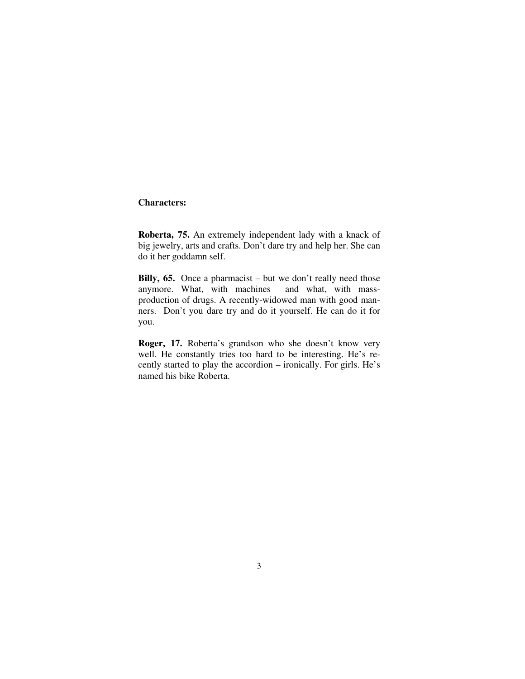## **Characters:**

**Roberta, 75.** An extremely independent lady with a knack of big jewelry, arts and crafts. Don't dare try and help her. She can do it her goddamn self.

**Billy, 65.** Once a pharmacist – but we don't really need those anymore. What, with machines and what, with massproduction of drugs. A recently-widowed man with good manners. Don't you dare try and do it yourself. He can do it for you.

**Roger, 17.** Roberta's grandson who she doesn't know very well. He constantly tries too hard to be interesting. He's recently started to play the accordion – ironically. For girls. He's named his bike Roberta.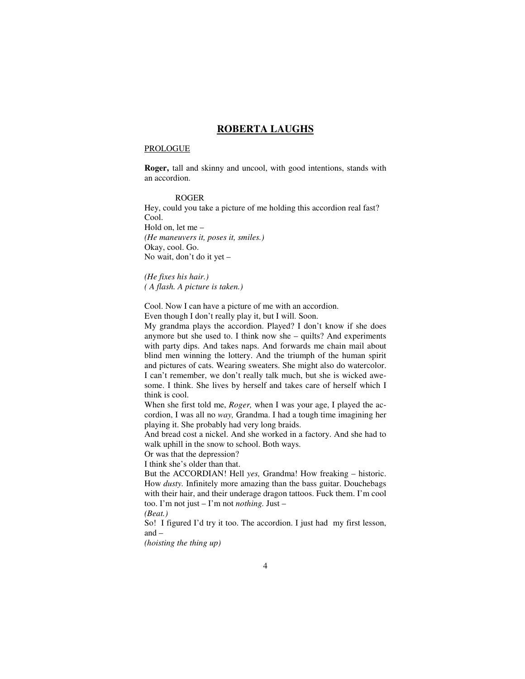## **ROBERTA LAUGHS**

#### PROLOGUE

**Roger,** tall and skinny and uncool, with good intentions, stands with an accordion.

#### ROGER

Hey, could you take a picture of me holding this accordion real fast? Cool. Hold on, let me – *(He maneuvers it, poses it, smiles.)*

Okay, cool. Go. No wait, don't do it yet –

*(He fixes his hair.) ( A flash. A picture is taken.)* 

Cool. Now I can have a picture of me with an accordion.

Even though I don't really play it, but I will. Soon.

My grandma plays the accordion. Played? I don't know if she does anymore but she used to. I think now she – quilts? And experiments with party dips. And takes naps. And forwards me chain mail about blind men winning the lottery. And the triumph of the human spirit and pictures of cats. Wearing sweaters. She might also do watercolor. I can't remember, we don't really talk much, but she is wicked awesome. I think. She lives by herself and takes care of herself which I think is cool.

When she first told me, *Roger,* when I was your age, I played the accordion, I was all no *way,* Grandma. I had a tough time imagining her playing it. She probably had very long braids.

And bread cost a nickel. And she worked in a factory. And she had to walk uphill in the snow to school. Both ways.

Or was that the depression?

I think she's older than that.

But the ACCORDIAN! Hell *yes,* Grandma! How freaking – historic. How *dusty.* Infinitely more amazing than the bass guitar. Douchebags with their hair, and their underage dragon tattoos. Fuck them. I'm cool too. I'm not just – I'm not *nothing.* Just –

*(Beat.)* 

So! I figured I'd try it too. The accordion. I just had my first lesson, and –

*(hoisting the thing up)*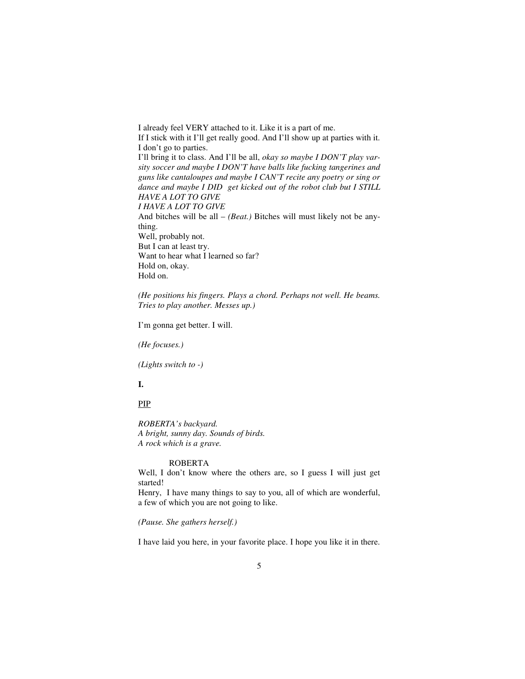I already feel VERY attached to it. Like it is a part of me. If I stick with it I'll get really good. And I'll show up at parties with it. I don't go to parties. I'll bring it to class. And I'll be all, *okay so maybe I DON'T play varsity soccer and maybe I DON'T have balls like fucking tangerines and guns like cantaloupes and maybe I CAN'T recite any poetry or sing or dance and maybe I DID get kicked out of the robot club but I STILL HAVE A LOT TO GIVE I HAVE A LOT TO GIVE*  And bitches will be all – *(Beat.)* Bitches will must likely not be anything. Well, probably not. But I can at least try. Want to hear what I learned so far? Hold on, okay. Hold on.

*(He positions his fingers. Plays a chord. Perhaps not well. He beams. Tries to play another. Messes up.)* 

I'm gonna get better. I will.

*(He focuses.)* 

*(Lights switch to -)* 

## **I.**

PIP

*ROBERTA's backyard. A bright, sunny day. Sounds of birds. A rock which is a grave.* 

## ROBERTA

Well, I don't know where the others are, so I guess I will just get started!

Henry, I have many things to say to you, all of which are wonderful, a few of which you are not going to like.

*(Pause. She gathers herself.)* 

I have laid you here, in your favorite place. I hope you like it in there.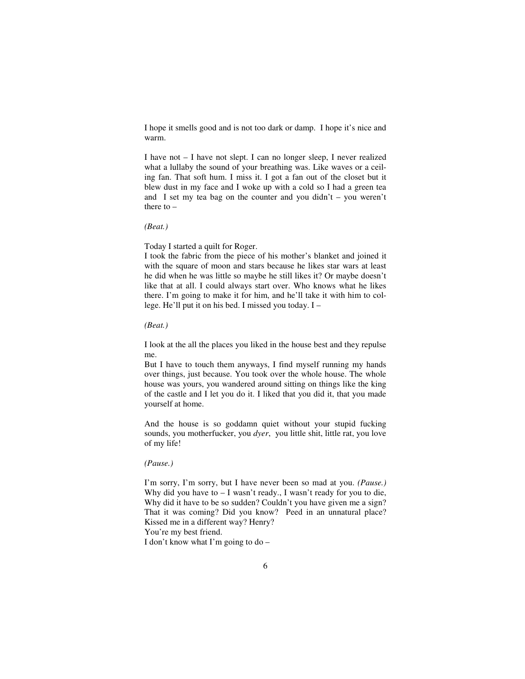I hope it smells good and is not too dark or damp. I hope it's nice and warm.

I have not – I have not slept. I can no longer sleep, I never realized what a lullaby the sound of your breathing was. Like waves or a ceiling fan. That soft hum. I miss it. I got a fan out of the closet but it blew dust in my face and I woke up with a cold so I had a green tea and I set my tea bag on the counter and you didn't – you weren't there to –

*(Beat.)* 

Today I started a quilt for Roger.

I took the fabric from the piece of his mother's blanket and joined it with the square of moon and stars because he likes star wars at least he did when he was little so maybe he still likes it? Or maybe doesn't like that at all. I could always start over. Who knows what he likes there. I'm going to make it for him, and he'll take it with him to college. He'll put it on his bed. I missed you today. I –

*(Beat.)* 

I look at the all the places you liked in the house best and they repulse me.

But I have to touch them anyways, I find myself running my hands over things, just because. You took over the whole house. The whole house was yours, you wandered around sitting on things like the king of the castle and I let you do it. I liked that you did it, that you made yourself at home.

And the house is so goddamn quiet without your stupid fucking sounds, you motherfucker, you *dyer*, you little shit, little rat, you love of my life!

*(Pause.)* 

I'm sorry, I'm sorry, but I have never been so mad at you. *(Pause.)*  Why did you have to  $- I$  wasn't ready., I wasn't ready for you to die, Why did it have to be so sudden? Couldn't you have given me a sign? That it was coming? Did you know? Peed in an unnatural place? Kissed me in a different way? Henry?

You're my best friend.

I don't know what I'm going to do –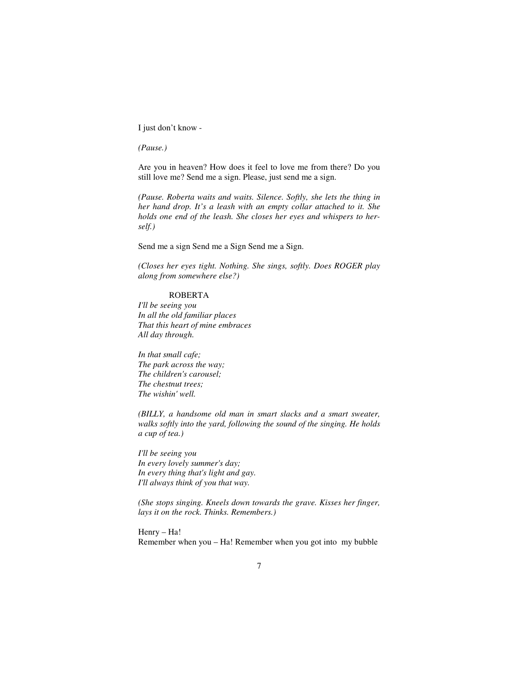I just don't know -

*(Pause.)* 

Are you in heaven? How does it feel to love me from there? Do you still love me? Send me a sign. Please, just send me a sign.

*(Pause. Roberta waits and waits. Silence. Softly, she lets the thing in her hand drop. It's a leash with an empty collar attached to it. She holds one end of the leash. She closes her eyes and whispers to herself.)* 

Send me a sign Send me a Sign Send me a Sign.

*(Closes her eyes tight. Nothing. She sings, softly. Does ROGER play along from somewhere else?)* 

#### ROBERTA

*I'll be seeing you In all the old familiar places That this heart of mine embraces All day through.* 

*In that small cafe; The park across the way; The children's carousel; The chestnut trees; The wishin' well.* 

*(BILLY, a handsome old man in smart slacks and a smart sweater, walks softly into the yard, following the sound of the singing. He holds a cup of tea.)* 

*I'll be seeing you In every lovely summer's day; In every thing that's light and gay. I'll always think of you that way.* 

*(She stops singing. Kneels down towards the grave. Kisses her finger, lays it on the rock. Thinks. Remembers.)* 

Henry – Ha! Remember when you – Ha! Remember when you got into my bubble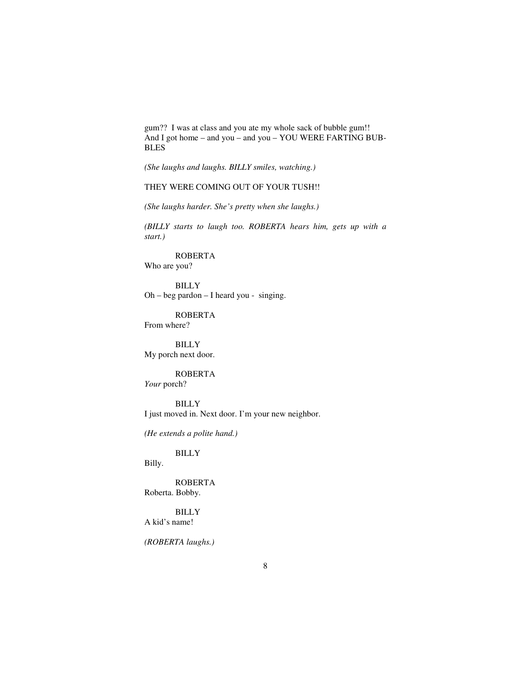gum?? I was at class and you ate my whole sack of bubble gum!! And I got home – and you – and you – YOU WERE FARTING BUB-BLES

*(She laughs and laughs. BILLY smiles, watching.)* 

## THEY WERE COMING OUT OF YOUR TUSH!!

*(She laughs harder. She's pretty when she laughs.)* 

*(BILLY starts to laugh too. ROBERTA hears him, gets up with a start.)* 

 ROBERTA Who are you?

 BILLY Oh – beg pardon – I heard you - singing.

 ROBERTA From where?

 BILLY My porch next door.

ROBERTA

*Your* porch?

 BILLY I just moved in. Next door. I'm your new neighbor.

*(He extends a polite hand.)* 

BILLY

Billy.

 ROBERTA Roberta. Bobby.

 BILLY A kid's name!

*(ROBERTA laughs.)*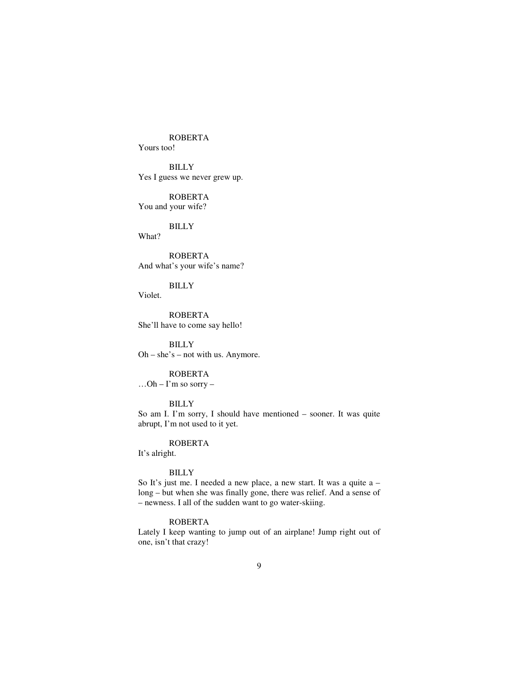ROBERTA

Yours too!

 BILLY Yes I guess we never grew up.

ROBERTA

You and your wife?

 BILLY What?

 ROBERTA And what's your wife's name?

 BILLY Violet.

 ROBERTA She'll have to come say hello!

 BILLY Oh – she's – not with us. Anymore.

## ROBERTA

 $...$ Oh – I'm so sorry –

BILLY

So am I. I'm sorry, I should have mentioned – sooner. It was quite abrupt, I'm not used to it yet.

ROBERTA

It's alright.

## BILLY

So It's just me. I needed a new place, a new start. It was a quite a – long – but when she was finally gone, there was relief. And a sense of – newness. I all of the sudden want to go water-skiing.

#### ROBERTA

Lately I keep wanting to jump out of an airplane! Jump right out of one, isn't that crazy!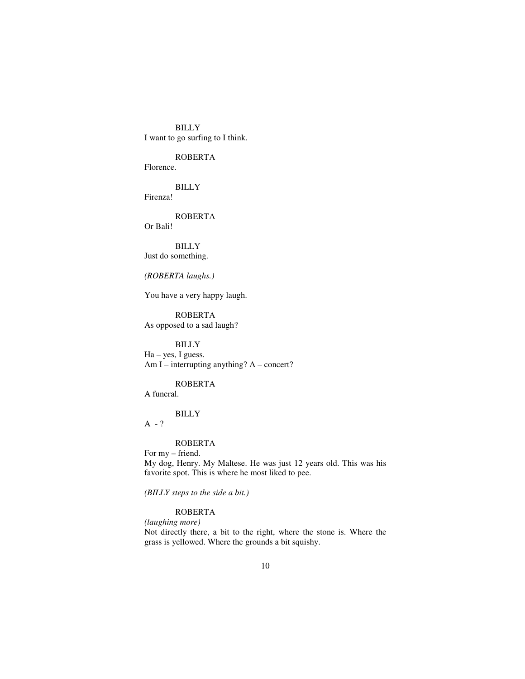BILLY I want to go surfing to I think.

 ROBERTA Florence.

 BILLY Firenza!

 ROBERTA Or Bali!

 BILLY Just do something.

*(ROBERTA laughs.)* 

You have a very happy laugh.

 ROBERTA As opposed to a sad laugh?

 BILLY Ha – yes, I guess. Am I – interrupting anything? A – concert?

 ROBERTA A funeral.

BILLY

 $A - ?$ 

# ROBERTA

For my – friend. My dog, Henry. My Maltese. He was just 12 years old. This was his favorite spot. This is where he most liked to pee.

*(BILLY steps to the side a bit.)* 

# ROBERTA

*(laughing more)* 

Not directly there, a bit to the right, where the stone is. Where the grass is yellowed. Where the grounds a bit squishy.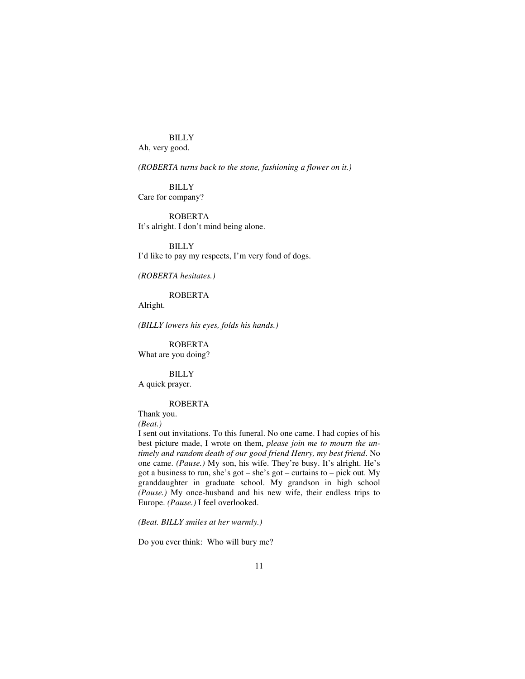BILLY Ah, very good.

*(ROBERTA turns back to the stone, fashioning a flower on it.)* 

 BILLY Care for company?

 ROBERTA It's alright. I don't mind being alone.

 BILLY I'd like to pay my respects, I'm very fond of dogs.

*(ROBERTA hesitates.)* 

ROBERTA

Alright.

*(BILLY lowers his eyes, folds his hands.)* 

 ROBERTA What are you doing?

BILLY

A quick prayer.

## ROBERTA

Thank you.

*(Beat.)* 

I sent out invitations. To this funeral. No one came. I had copies of his best picture made, I wrote on them, *please join me to mourn the untimely and random death of our good friend Henry, my best friend*. No one came. *(Pause.)* My son, his wife. They're busy. It's alright. He's got a business to run, she's got – she's got – curtains to – pick out. My granddaughter in graduate school. My grandson in high school *(Pause.)* My once-husband and his new wife, their endless trips to Europe. *(Pause.)* I feel overlooked.

*(Beat. BILLY smiles at her warmly.)* 

Do you ever think: Who will bury me?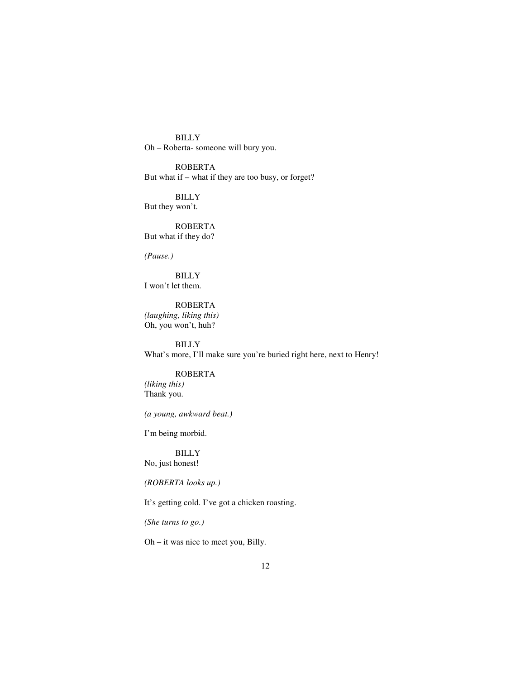BILLY Oh – Roberta- someone will bury you.

 ROBERTA But what if – what if they are too busy, or forget?

 BILLY But they won't.

 ROBERTA But what if they do?

*(Pause.)* 

 BILLY I won't let them.

 ROBERTA *(laughing, liking this)*  Oh, you won't, huh?

 BILLY What's more, I'll make sure you're buried right here, next to Henry!

# ROBERTA

*(liking this)*  Thank you.

*(a young, awkward beat.)* 

I'm being morbid.

 BILLY No, just honest!

*(ROBERTA looks up.)* 

It's getting cold. I've got a chicken roasting.

*(She turns to go.)* 

Oh – it was nice to meet you, Billy.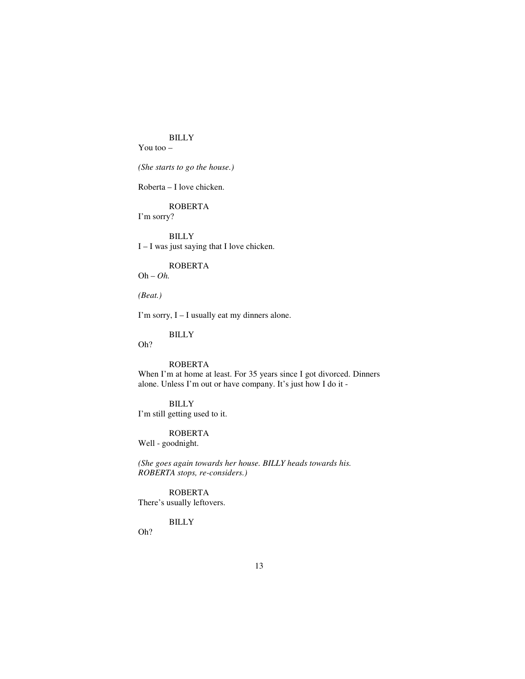## BILLY

You too –

## *(She starts to go the house.)*

Roberta – I love chicken.

## ROBERTA

I'm sorry?

 BILLY I – I was just saying that I love chicken.

#### ROBERTA

Oh – *Oh.* 

*(Beat.)* 

I'm sorry, I – I usually eat my dinners alone.

## BILLY

Oh?

## ROBERTA

When I'm at home at least. For 35 years since I got divorced. Dinners alone. Unless I'm out or have company. It's just how I do it -

## BILLY

I'm still getting used to it.

#### ROBERTA

Well - goodnight.

*(She goes again towards her house. BILLY heads towards his. ROBERTA stops, re-considers.)* 

 ROBERTA There's usually leftovers.

## BILLY

Oh?